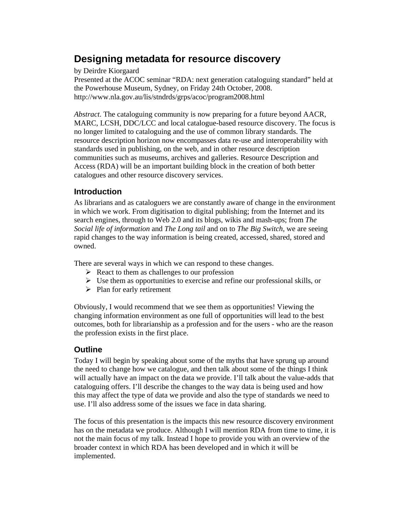# **Designing metadata for resource discovery**

by Deirdre Kiorgaard

Presented at the ACOC seminar "RDA: next generation cataloguing standard" held at the Powerhouse Museum, Sydney, on Friday 24th October, 2008. http://www.nla.gov.au/lis/stndrds/grps/acoc/program2008.html

*Abstract*. The cataloguing community is now preparing for a future beyond AACR, MARC, LCSH, DDC/LCC and local catalogue-based resource discovery. The focus is no longer limited to cataloguing and the use of common library standards. The resource description horizon now encompasses data re-use and interoperability with standards used in publishing, on the web, and in other resource description communities such as museums, archives and galleries. Resource Description and Access (RDA) will be an important building block in the creation of both better catalogues and other resource discovery services.

# **Introduction**

As librarians and as cataloguers we are constantly aware of change in the environment in which we work. From digitisation to digital publishing; from the Internet and its search engines, through to Web 2.0 and its blogs, wikis and mash-ups; from *The Social life of information* and *The Long tail* and on to *The Big Switch,* we are seeing rapid changes to the way information is being created, accessed, shared, stored and owned.

There are several ways in which we can respond to these changes.

- $\triangleright$  React to them as challenges to our profession
- $\triangleright$  Use them as opportunities to exercise and refine our professional skills, or
- $\triangleright$  Plan for early retirement

Obviously, I would recommend that we see them as opportunities! Viewing the changing information environment as one full of opportunities will lead to the best outcomes, both for librarianship as a profession and for the users - who are the reason the profession exists in the first place.

# **Outline**

Today I will begin by speaking about some of the myths that have sprung up around the need to change how we catalogue, and then talk about some of the things I think will actually have an impact on the data we provide. I'll talk about the value-adds that cataloguing offers. I'll describe the changes to the way data is being used and how this may affect the type of data we provide and also the type of standards we need to use. I'll also address some of the issues we face in data sharing.

The focus of this presentation is the impacts this new resource discovery environment has on the metadata we produce. Although I will mention RDA from time to time, it is not the main focus of my talk. Instead I hope to provide you with an overview of the broader context in which RDA has been developed and in which it will be implemented.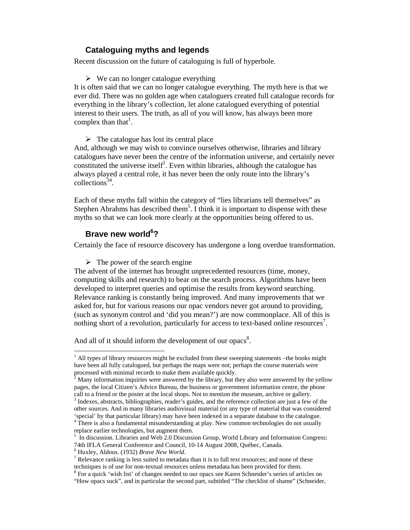# **Cataloguing myths and legends**

Recent discussion on the future of cataloguing is full of hyperbole.

 $\triangleright$  We can no longer catalogue everything

It is often said that we can no longer catalogue everything. The myth here is that we ever did. There was no golden age when cataloguers created full catalogue records for everything in the library's collection, let alone catalogued everything of potential interest to their users. The truth, as all of you will know, has always been more complex than that<sup>1</sup>.

 $\triangleright$  The catalogue has lost its central place

And, although we may wish to convince ourselves otherwise, libraries and library catalogues have never been the centre of the information universe, and certainly never constituted the universe itself<sup>2</sup>. Even within libraries, although the catalogue has always played a central role, it has never been the only route into the library's  $\text{collections}^{34}$ .

Each of these myths fall within the category of "lies librarians tell themselves" as Stephen Abrahms has described them<sup>5</sup>. I think it is important to dispense with these myths so that we can look more clearly at the opportunities being offered to us.

# Brave new world<sup>6</sup>?

 $\overline{a}$ 

Certainly the face of resource discovery has undergone a long overdue transformation.

 $\triangleright$  The power of the search engine

The advent of the internet has brought unprecedented resources (time, money, computing skills and research) to bear on the search process. Algorithms have been developed to interpret queries and optimise the results from keyword searching. Relevance ranking is constantly being improved. And many improvements that we asked for, but for various reasons our opac vendors never got around to providing, (such as synonym control and 'did you mean?') are now commonplace. All of this is nothing short of a revolution, particularly for access to text-based online resources<sup>7</sup>.

And all of it should inform the development of our opacs<sup>8</sup>.

 $<sup>1</sup>$  All types of library resources might be excluded from these sweeping statements –the books might</sup> have been all fully catalogued, but perhaps the maps were not; perhaps the course materials were processed with minimal records to make them available quickly.<br><sup>2</sup> Mony information inquiries ware answered by the library by the

Many information inquiries were answered by the library, but they also were answered by the yellow pages, the local Citizen's Advice Bureau, the business or government information centre, the phone call to a friend or the poster at the local shops. Not to mention the museum, archive or gallery.

 $3$  Indexes, abstracts, bibliographies, reader's guides, and the reference collection are just a few of the other sources. And in many libraries audiovisual material (or any type of material that was considered 'special' by that particular library) may have been indexed in a separate database to the catalogue.

 $4$  There is also a fundamental misunderstanding at play. New common technologies do not usually replace earlier technologies, but augment them.

 $5 \text{ In discussion. Libraries and Web 2.0 Discussion Group, World Library and Information Congress:}$ 74th IFLA General Conference and Council, 10-14 August 2008, Québec, Canada.

<sup>&</sup>lt;sup>6</sup> Huxley, Aldous. (1932) *Brave New World*.<br><sup>7</sup> Pelevance repling is less suited to metadate

 $\frac{7}{7}$  Relevance ranking is less suited to metadata than it is to full text resources; and none of these techniques is of use for non-textual resources unless metadata has been provided for them.

<sup>&</sup>lt;sup>8</sup> For a quick 'wish list' of changes needed to our opacs see Karen Schneider's series of articles on

<sup>&</sup>quot;How opacs suck", and in particular the second part, subtitled "The checklist of shame" (Schneider,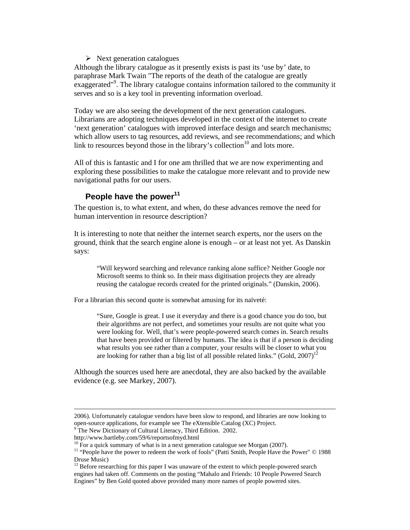### $\triangleright$  Next generation catalogues

Although the library catalogue as it presently exists is past its 'use by' date, to paraphrase Mark Twain "The reports of the death of the catalogue are greatly exaggerated"<sup>9</sup>. The library catalogue contains information tailored to the community it serves and so is a key tool in preventing information overload.

Today we are also seeing the development of the next generation catalogues. Librarians are adopting techniques developed in the context of the internet to create 'next generation' catalogues with improved interface design and search mechanisms; which allow users to tag resources, add reviews, and see recommendations; and which link to resources beyond those in the library's collection $10$  and lots more.

All of this is fantastic and I for one am thrilled that we are now experimenting and exploring these possibilities to make the catalogue more relevant and to provide new navigational paths for our users.

# People have the power<sup>11</sup>

The question is, to what extent, and when, do these advances remove the need for human intervention in resource description?

It is interesting to note that neither the internet search experts, nor the users on the ground, think that the search engine alone is enough – or at least not yet. As Danskin says:

"Will keyword searching and relevance ranking alone suffice? Neither Google nor Microsoft seems to think so. In their mass digitisation projects they are already reusing the catalogue records created for the printed originals." (Danskin, 2006).

For a librarian this second quote is somewhat amusing for its naïveté:

"Sure, Google is great. I use it everyday and there is a good chance you do too, but their algorithms are not perfect, and sometimes your results are not quite what you were looking for. Well, that's were people-powered search comes in. Search results that have been provided or filtered by humans. The idea is that if a person is deciding what results you see rather than a computer, your results will be closer to what you are looking for rather than a big list of all possible related links." (Gold,  $2007$ )<sup>12</sup>

Although the sources used here are anecdotal, they are also backed by the available evidence (e.g. see Markey, 2007).

The New Dictionary of Cultural Literacy, Third Edition. 2002.

 <sup>2006).</sup> Unfortunately catalogue vendors have been slow to respond, and libraries are now looking to open-source applications, for example see The eXtensible Catalog (XC) Project.<br><sup>9</sup> The Navy Distingery of Cultural Literacy, Third Edition, 2002.

http://www.bartleby.com/59/6/reportsofmyd.html

 $10$  For a quick summary of what is in a next generation catalogue see Morgan (2007).

<sup>&</sup>lt;sup>11</sup> "People have the power to redeem the work of fools" (Patti Smith, People Have the Power" © 1988 Druse Music)

<sup>&</sup>lt;sup>12</sup> Before researching for this paper I was unaware of the extent to which people-powered search engines had taken off. Comments on the posting "Mahalo and Friends: 10 People Powered Search Engines" by Ben Gold quoted above provided many more names of people powered sites.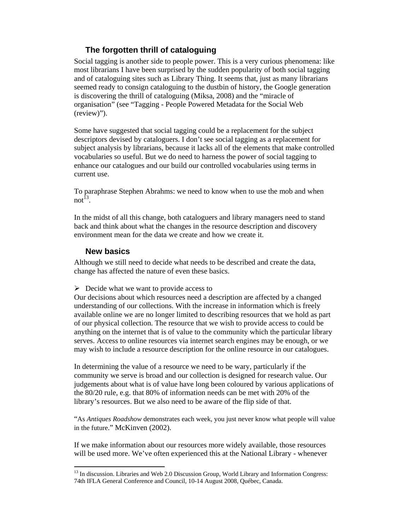# **The forgotten thrill of cataloguing**

Social tagging is another side to people power. This is a very curious phenomena: like most librarians I have been surprised by the sudden popularity of both social tagging and of cataloguing sites such as Library Thing. It seems that, just as many librarians seemed ready to consign cataloguing to the dustbin of history, the Google generation is discovering the thrill of cataloguing (Miksa, 2008) and the "miracle of organisation" (see "Tagging - People Powered Metadata for the Social Web (review)").

Some have suggested that social tagging could be a replacement for the subject descriptors devised by cataloguers. I don't see social tagging as a replacement for subject analysis by librarians, because it lacks all of the elements that make controlled vocabularies so useful. But we do need to harness the power of social tagging to enhance our catalogues and our build our controlled vocabularies using terms in current use.

To paraphrase Stephen Abrahms: we need to know when to use the mob and when not<sup> $13$ </sup>.

In the midst of all this change, both cataloguers and library managers need to stand back and think about what the changes in the resource description and discovery environment mean for the data we create and how we create it.

## **New basics**

 $\overline{\phantom{a}}$ 

Although we still need to decide what needs to be described and create the data, change has affected the nature of even these basics.

 $\triangleright$  Decide what we want to provide access to

Our decisions about which resources need a description are affected by a changed understanding of our collections. With the increase in information which is freely available online we are no longer limited to describing resources that we hold as part of our physical collection. The resource that we wish to provide access to could be anything on the internet that is of value to the community which the particular library serves. Access to online resources via internet search engines may be enough, or we may wish to include a resource description for the online resource in our catalogues.

In determining the value of a resource we need to be wary, particularly if the community we serve is broad and our collection is designed for research value. Our judgements about what is of value have long been coloured by various applications of the 80/20 rule, e.g. that 80% of information needs can be met with 20% of the library's resources. But we also need to be aware of the flip side of that.

"As *Antiques Roadshow* demonstrates each week, you just never know what people will value in the future." McKinven (2002).

If we make information about our resources more widely available, those resources will be used more. We've often experienced this at the National Library - whenever

<sup>&</sup>lt;sup>13</sup> In discussion. Libraries and Web 2.0 Discussion Group, World Library and Information Congress: 74th IFLA General Conference and Council, 10-14 August 2008, Québec, Canada.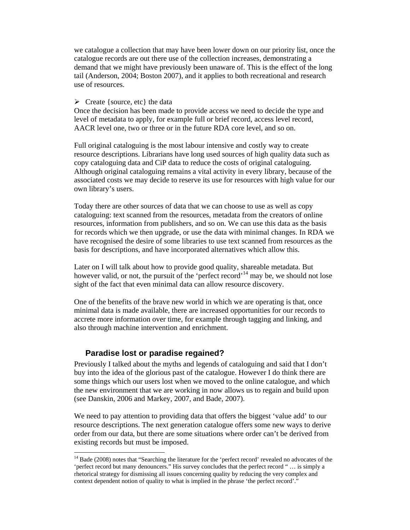we catalogue a collection that may have been lower down on our priority list, once the catalogue records are out there use of the collection increases, demonstrating a demand that we might have previously been unaware of. This is the effect of the long tail (Anderson, 2004; Boston 2007), and it applies to both recreational and research use of resources.

#### $\triangleright$  Create {source, etc} the data

Once the decision has been made to provide access we need to decide the type and level of metadata to apply, for example full or brief record, access level record, AACR level one, two or three or in the future RDA core level, and so on.

Full original cataloguing is the most labour intensive and costly way to create resource descriptions. Librarians have long used sources of high quality data such as copy cataloguing data and CiP data to reduce the costs of original cataloguing. Although original cataloguing remains a vital activity in every library, because of the associated costs we may decide to reserve its use for resources with high value for our own library's users.

Today there are other sources of data that we can choose to use as well as copy cataloguing: text scanned from the resources, metadata from the creators of online resources, information from publishers, and so on. We can use this data as the basis for records which we then upgrade, or use the data with minimal changes. In RDA we have recognised the desire of some libraries to use text scanned from resources as the basis for descriptions, and have incorporated alternatives which allow this.

Later on I will talk about how to provide good quality, shareable metadata. But however valid, or not, the pursuit of the 'perfect record'<sup>14</sup> may be, we should not lose sight of the fact that even minimal data can allow resource discovery.

One of the benefits of the brave new world in which we are operating is that, once minimal data is made available, there are increased opportunities for our records to accrete more information over time, for example through tagging and linking, and also through machine intervention and enrichment.

### **Paradise lost or paradise regained?**

 $\overline{a}$ 

Previously I talked about the myths and legends of cataloguing and said that I don't buy into the idea of the glorious past of the catalogue. However I do think there are some things which our users lost when we moved to the online catalogue, and which the new environment that we are working in now allows us to regain and build upon (see Danskin, 2006 and Markey, 2007, and Bade, 2007).

We need to pay attention to providing data that offers the biggest 'value add' to our resource descriptions. The next generation catalogue offers some new ways to derive order from our data, but there are some situations where order can't be derived from existing records but must be imposed.

<sup>&</sup>lt;sup>14</sup> Bade (2008) notes that "Searching the literature for the 'perfect record' revealed no advocates of the 'perfect record but many denouncers." His survey concludes that the perfect record " … is simply a rhetorical strategy for dismissing all issues concerning quality by reducing the very complex and context dependent notion of quality to what is implied in the phrase 'the perfect record'."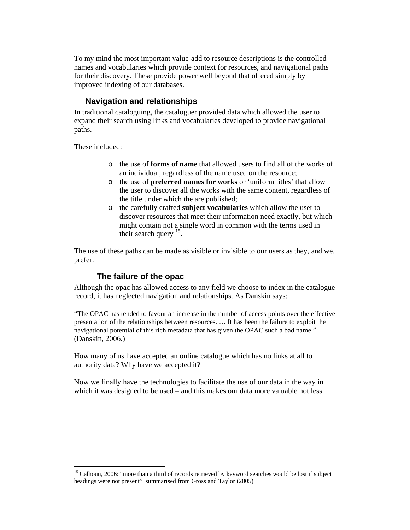To my mind the most important value-add to resource descriptions is the controlled names and vocabularies which provide context for resources, and navigational paths for their discovery. These provide power well beyond that offered simply by improved indexing of our databases.

# **Navigation and relationships**

In traditional cataloguing, the cataloguer provided data which allowed the user to expand their search using links and vocabularies developed to provide navigational paths.

These included:

 $\overline{\phantom{a}}$ 

- o the use of **forms of name** that allowed users to find all of the works of an individual, regardless of the name used on the resource;
- o the use of **preferred names for works** or 'uniform titles' that allow the user to discover all the works with the same content, regardless of the title under which the are published;
- o the carefully crafted **subject vocabularies** which allow the user to discover resources that meet their information need exactly, but which might contain not a single word in common with the terms used in their search query <sup>15</sup>.

The use of these paths can be made as visible or invisible to our users as they, and we, prefer.

# **The failure of the opac**

Although the opac has allowed access to any field we choose to index in the catalogue record, it has neglected navigation and relationships. As Danskin says:

"The OPAC has tended to favour an increase in the number of access points over the effective presentation of the relationships between resources. … It has been the failure to exploit the navigational potential of this rich metadata that has given the OPAC such a bad name." (Danskin, 2006.)

How many of us have accepted an online catalogue which has no links at all to authority data? Why have we accepted it?

Now we finally have the technologies to facilitate the use of our data in the way in which it was designed to be used – and this makes our data more valuable not less.

<sup>&</sup>lt;sup>15</sup> Calhoun, 2006: "more than a third of records retrieved by keyword searches would be lost if subject headings were not present" summarised from Gross and Taylor (2005)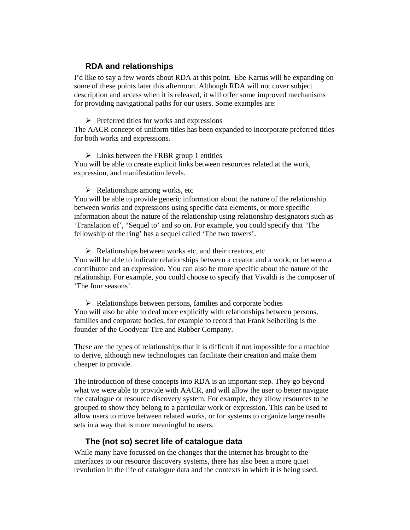## **RDA and relationships**

I'd like to say a few words about RDA at this point. Ebe Kartus will be expanding on some of these points later this afternoon. Although RDA will not cover subject description and access when it is released, it will offer some improved mechanisms for providing navigational paths for our users. Some examples are:

#### $\triangleright$  Preferred titles for works and expressions

The AACR concept of uniform titles has been expanded to incorporate preferred titles for both works and expressions.

#### $\triangleright$  Links between the FRBR group 1 entities

You will be able to create explicit links between resources related at the work, expression, and manifestation levels.

#### $\triangleright$  Relationships among works, etc

You will be able to provide generic information about the nature of the relationship between works and expressions using specific data elements, or more specific information about the nature of the relationship using relationship designators such as 'Translation of', "Sequel to' and so on. For example, you could specify that 'The fellowship of the ring' has a sequel called 'The two towers'.

 $\triangleright$  Relationships between works etc, and their creators, etc You will be able to indicate relationships between a creator and a work, or between a contributor and an expression. You can also be more specific about the nature of the relationship. For example, you could choose to specify that Vivaldi is the composer of 'The four seasons'.

 $\triangleright$  Relationships between persons, families and corporate bodies You will also be able to deal more explicitly with relationships between persons, families and corporate bodies, for example to record that Frank Seiberling is the founder of the Goodyear Tire and Rubber Company.

These are the types of relationships that it is difficult if not impossible for a machine to derive, although new technologies can facilitate their creation and make them cheaper to provide.

The introduction of these concepts into RDA is an important step. They go beyond what we were able to provide with AACR, and will allow the user to better navigate the catalogue or resource discovery system. For example, they allow resources to be grouped to show they belong to a particular work or expression. This can be used to allow users to move between related works, or for systems to organize large results sets in a way that is more meaningful to users.

### **The (not so) secret life of catalogue data**

While many have focussed on the changes that the internet has brought to the interfaces to our resource discovery systems, there has also been a more quiet revolution in the life of catalogue data and the contexts in which it is being used.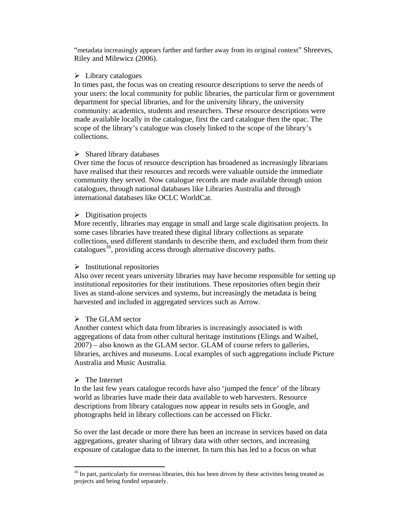"metadata increasingly appears farther and farther away from its original context" Shreeves, Riley and Milewicz (2006).

### $\triangleright$  Library catalogues

In times past, the focus was on creating resource descriptions to serve the needs of your users: the local community for public libraries, the particular firm or government department for special libraries, and for the university library, the university community: academics, students and researchers. These resource descriptions were made available locally in the catalogue, first the card catalogue then the opac. The scope of the library's catalogue was closely linked to the scope of the library's collections.

### $\triangleright$  Shared library databases

Over time the focus of resource description has broadened as increasingly librarians have realised that their resources and records were valuable outside the immediate community they served. Now catalogue records are made available through union catalogues, through national databases like Libraries Australia and through international databases like OCLC WorldCat.

### $\triangleright$  Digitisation projects

More recently, libraries may engage in small and large scale digitisation projects. In some cases libraries have treated these digital library collections as separate collections, used different standards to describe them, and excluded them from their catalogues<sup>16</sup>, providing access through alternative discovery paths.

### $\triangleright$  Institutional repositories

Also over recent years university libraries may have become responsible for setting up institutional repositories for their institutions. These repositories often begin their lives as stand-alone services and systems, but increasingly the metadata is being harvested and included in aggregated services such as Arrow.

### $\triangleright$  The GLAM sector

Another context which data from libraries is increasingly associated is with aggregations of data from other cultural heritage institutions (Elings and Waibel, 2007) – also known as the GLAM sector. GLAM of course refers to galleries, libraries, archives and museums. Local examples of such aggregations include Picture Australia and Music Australia.

### $\triangleright$  The Internet

In the last few years catalogue records have also 'jumped the fence' of the library world as libraries have made their data available to web harvesters. Resource descriptions from library catalogues now appear in results sets in Google, and photographs held in library collections can be accessed on Flickr.

So over the last decade or more there has been an increase in services based on data aggregations, greater sharing of library data with other sectors, and increasing exposure of catalogue data to the internet. In turn this has led to a focus on what

 $\overline{\phantom{a}}$ <sup>16</sup> In part, particularly for overseas libraries, this has been driven by these activities being treated as projects and being funded separately.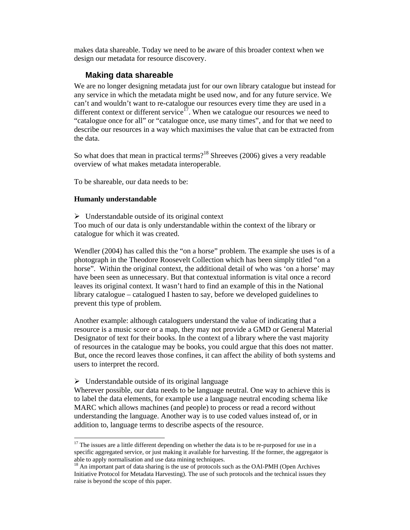makes data shareable. Today we need to be aware of this broader context when we design our metadata for resource discovery.

### **Making data shareable**

We are no longer designing metadata just for our own library catalogue but instead for any service in which the metadata might be used now, and for any future service. We can't and wouldn't want to re-catalogue our resources every time they are used in a different context or different service<sup>17</sup>. When we catalogue our resources we need to "catalogue once for all" or "catalogue once, use many times", and for that we need to describe our resources in a way which maximises the value that can be extracted from the data.

So what does that mean in practical terms?<sup>18</sup> Shreeves (2006) gives a very readable overview of what makes metadata interoperable.

To be shareable, our data needs to be:

#### **Humanly understandable**

 $\overline{\phantom{a}}$ 

 $\triangleright$  Understandable outside of its original context Too much of our data is only understandable within the context of the library or catalogue for which it was created.

Wendler (2004) has called this the "on a horse" problem. The example she uses is of a photograph in the Theodore Roosevelt Collection which has been simply titled "on a horse". Within the original context, the additional detail of who was 'on a horse' may have been seen as unnecessary. But that contextual information is vital once a record leaves its original context. It wasn't hard to find an example of this in the National library catalogue – catalogued I hasten to say, before we developed guidelines to prevent this type of problem.

Another example: although cataloguers understand the value of indicating that a resource is a music score or a map, they may not provide a GMD or General Material Designator of text for their books. In the context of a library where the vast majority of resources in the catalogue may be books, you could argue that this does not matter. But, once the record leaves those confines, it can affect the ability of both systems and users to interpret the record.

 $\triangleright$  Understandable outside of its original language

Wherever possible, our data needs to be language neutral. One way to achieve this is to label the data elements, for example use a language neutral encoding schema like MARC which allows machines (and people) to process or read a record without understanding the language. Another way is to use coded values instead of, or in addition to, language terms to describe aspects of the resource.

 $17$  The issues are a little different depending on whether the data is to be re-purposed for use in a specific aggregated service, or just making it available for harvesting. If the former, the aggregator is able to apply normalisation and use data mining techniques.

<sup>&</sup>lt;sup>18</sup> An important part of data sharing is the use of protocols such as the OAI-PMH (Open Archives Initiative Protocol for Metadata Harvesting). The use of such protocols and the technical issues they raise is beyond the scope of this paper.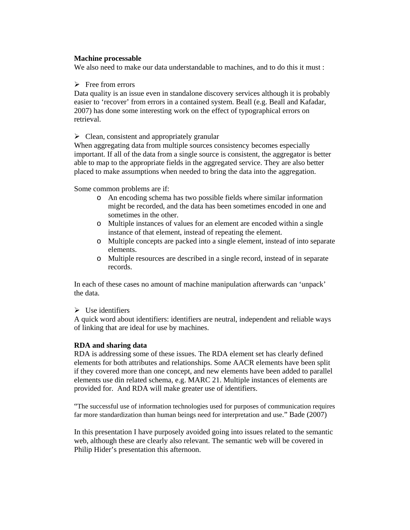### **Machine processable**

We also need to make our data understandable to machines, and to do this it must:

 $\triangleright$  Free from errors

Data quality is an issue even in standalone discovery services although it is probably easier to 'recover' from errors in a contained system. Beall (e.g. Beall and Kafadar, 2007) has done some interesting work on the effect of typographical errors on retrieval.

 $\triangleright$  Clean, consistent and appropriately granular

When aggregating data from multiple sources consistency becomes especially important. If all of the data from a single source is consistent, the aggregator is better able to map to the appropriate fields in the aggregated service. They are also better placed to make assumptions when needed to bring the data into the aggregation.

Some common problems are if:

- o An encoding schema has two possible fields where similar information might be recorded, and the data has been sometimes encoded in one and sometimes in the other.
- o Multiple instances of values for an element are encoded within a single instance of that element, instead of repeating the element.
- o Multiple concepts are packed into a single element, instead of into separate elements.
- o Multiple resources are described in a single record, instead of in separate records.

In each of these cases no amount of machine manipulation afterwards can 'unpack' the data.

### $\triangleright$  Use identifiers

A quick word about identifiers: identifiers are neutral, independent and reliable ways of linking that are ideal for use by machines.

### **RDA and sharing data**

RDA is addressing some of these issues. The RDA element set has clearly defined elements for both attributes and relationships. Some AACR elements have been split if they covered more than one concept, and new elements have been added to parallel elements use din related schema, e.g. MARC 21. Multiple instances of elements are provided for. And RDA will make greater use of identifiers.

"The successful use of information technologies used for purposes of communication requires far more standardization than human beings need for interpretation and use." Bade (2007)

In this presentation I have purposely avoided going into issues related to the semantic web, although these are clearly also relevant. The semantic web will be covered in Philip Hider's presentation this afternoon.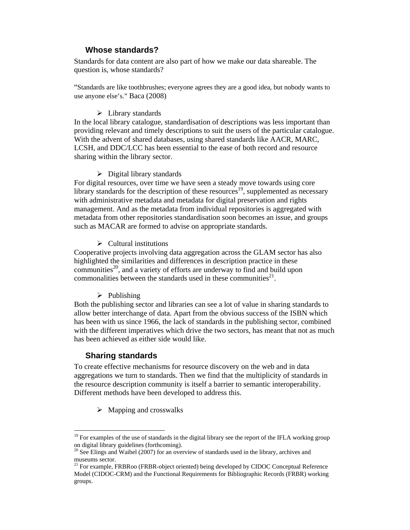## **Whose standards?**

Standards for data content are also part of how we make our data shareable. The question is, whose standards?

"Standards are like toothbrushes; everyone agrees they are a good idea, but nobody wants to use anyone else's." Baca (2008)

#### $\triangleright$  Library standards

In the local library catalogue, standardisation of descriptions was less important than providing relevant and timely descriptions to suit the users of the particular catalogue. With the advent of shared databases, using shared standards like AACR, MARC, LCSH, and DDC/LCC has been essential to the ease of both record and resource sharing within the library sector.

### $\triangleright$  Digital library standards

For digital resources, over time we have seen a steady move towards using core library standards for the description of these resources<sup>19</sup>, supplemented as necessary with administrative metadata and metadata for digital preservation and rights management. And as the metadata from individual repositories is aggregated with metadata from other repositories standardisation soon becomes an issue, and groups such as MACAR are formed to advise on appropriate standards.

#### $\triangleright$  Cultural institutions

Cooperative projects involving data aggregation across the GLAM sector has also highlighted the similarities and differences in description practice in these communities<sup>20</sup>, and a variety of efforts are underway to find and build upon commonalities between the standards used in these communities<sup>21</sup>.

#### $\triangleright$  Publishing

Both the publishing sector and libraries can see a lot of value in sharing standards to allow better interchange of data. Apart from the obvious success of the ISBN which has been with us since 1966, the lack of standards in the publishing sector, combined with the different imperatives which drive the two sectors, has meant that not as much has been achieved as either side would like.

### **Sharing standards**

 $\overline{\phantom{a}}$ 

To create effective mechanisms for resource discovery on the web and in data aggregations we turn to standards. Then we find that the multiplicity of standards in the resource description community is itself a barrier to semantic interoperability. Different methods have been developed to address this.

 $\triangleright$  Mapping and crosswalks

<sup>&</sup>lt;sup>19</sup> For examples of the use of standards in the digital library see the report of the IFLA working group on digital library guidelines (forthcoming).

 $20$  See Elings and Waibel (2007) for an overview of standards used in the library, archives and museums sector.

<sup>&</sup>lt;sup>21</sup> For example, FRBRoo (FRBR-object oriented) being developed by CIDOC Conceptual Reference Model (CIDOC-CRM) and the Functional Requirements for Bibliographic Records (FRBR) working groups.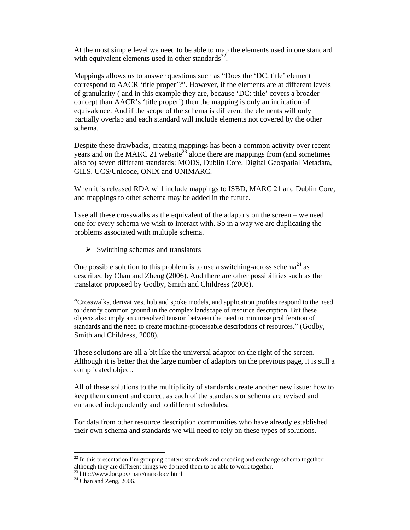At the most simple level we need to be able to map the elements used in one standard with equivalent elements used in other standards $^{22}$ .

Mappings allows us to answer questions such as "Does the 'DC: title' element correspond to AACR 'title proper'?". However, if the elements are at different levels of granularity ( and in this example they are, because 'DC: title' covers a broader concept than AACR's 'title proper') then the mapping is only an indication of equivalence. And if the scope of the schema is different the elements will only partially overlap and each standard will include elements not covered by the other schema.

Despite these drawbacks, creating mappings has been a common activity over recent years and on the MARC 21 website<sup>23</sup> alone there are mappings from (and sometimes also to) seven different standards: MODS, Dublin Core, Digital Geospatial Metadata, GILS, UCS/Unicode, ONIX and UNIMARC.

When it is released RDA will include mappings to ISBD, MARC 21 and Dublin Core, and mappings to other schema may be added in the future.

I see all these crosswalks as the equivalent of the adaptors on the screen – we need one for every schema we wish to interact with. So in a way we are duplicating the problems associated with multiple schema.

 $\triangleright$  Switching schemas and translators

One possible solution to this problem is to use a switching-across schema<sup>24</sup> as described by Chan and Zheng (2006). And there are other possibilities such as the translator proposed by Godby, Smith and Childress (2008).

"Crosswalks, derivatives, hub and spoke models, and application profiles respond to the need to identify common ground in the complex landscape of resource description. But these objects also imply an unresolved tension between the need to minimise proliferation of standards and the need to create machine-processable descriptions of resources." (Godby, Smith and Childress, 2008).

These solutions are all a bit like the universal adaptor on the right of the screen. Although it is better that the large number of adaptors on the previous page, it is still a complicated object.

All of these solutions to the multiplicity of standards create another new issue: how to keep them current and correct as each of the standards or schema are revised and enhanced independently and to different schedules.

For data from other resource description communities who have already established their own schema and standards we will need to rely on these types of solutions.

 $\overline{a}$ 

 $22$  In this presentation I'm grouping content standards and encoding and exchange schema together: although they are different things we do need them to be able to work together.

<sup>23</sup> http://www.loc.gov/marc/marcdocz.html

 $24$  Chan and Zeng, 2006.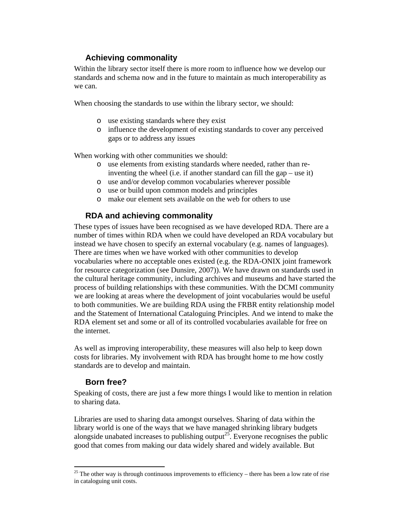# **Achieving commonality**

Within the library sector itself there is more room to influence how we develop our standards and schema now and in the future to maintain as much interoperability as we can.

When choosing the standards to use within the library sector, we should:

- o use existing standards where they exist
- o influence the development of existing standards to cover any perceived gaps or to address any issues

When working with other communities we should:

- o use elements from existing standards where needed, rather than reinventing the wheel (i.e. if another standard can fill the gap – use it)
- o use and/or develop common vocabularies wherever possible
- o use or build upon common models and principles
- o make our element sets available on the web for others to use

# **RDA and achieving commonality**

These types of issues have been recognised as we have developed RDA. There are a number of times within RDA when we could have developed an RDA vocabulary but instead we have chosen to specify an external vocabulary (e.g. names of languages). There are times when we have worked with other communities to develop vocabularies where no acceptable ones existed (e.g. the RDA-ONIX joint framework for resource categorization (see Dunsire, 2007)). We have drawn on standards used in the cultural heritage community, including archives and museums and have started the process of building relationships with these communities. With the DCMI community we are looking at areas where the development of joint vocabularies would be useful to both communities. We are building RDA using the FRBR entity relationship model and the Statement of International Cataloguing Principles. And we intend to make the RDA element set and some or all of its controlled vocabularies available for free on the internet.

As well as improving interoperability, these measures will also help to keep down costs for libraries. My involvement with RDA has brought home to me how costly standards are to develop and maintain.

## **Born free?**

 $\overline{\phantom{a}}$ 

Speaking of costs, there are just a few more things I would like to mention in relation to sharing data.

Libraries are used to sharing data amongst ourselves. Sharing of data within the library world is one of the ways that we have managed shrinking library budgets alongside unabated increases to publishing output<sup>25</sup>. Everyone recognises the public good that comes from making our data widely shared and widely available. But

 $25$  The other way is through continuous improvements to efficiency – there has been a low rate of rise in cataloguing unit costs.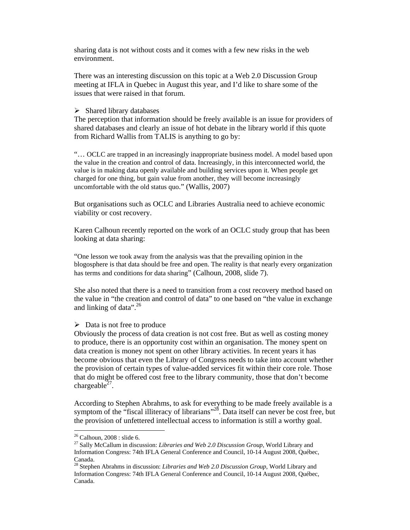sharing data is not without costs and it comes with a few new risks in the web environment.

There was an interesting discussion on this topic at a Web 2.0 Discussion Group meeting at IFLA in Quebec in August this year, and I'd like to share some of the issues that were raised in that forum.

#### $\triangleright$  Shared library databases

The perception that information should be freely available is an issue for providers of shared databases and clearly an issue of hot debate in the library world if this quote from Richard Wallis from TALIS is anything to go by:

"… OCLC are trapped in an increasingly inappropriate business model. A model based upon the value in the creation and control of data. Increasingly, in this interconnected world, the value is in making data openly available and building services upon it. When people get charged for one thing, but gain value from another, they will become increasingly uncomfortable with the old status quo." (Wallis, 2007)

But organisations such as OCLC and Libraries Australia need to achieve economic viability or cost recovery.

Karen Calhoun recently reported on the work of an OCLC study group that has been looking at data sharing:

"One lesson we took away from the analysis was that the prevailing opinion in the blogosphere is that data should be free and open. The reality is that nearly every organization has terms and conditions for data sharing" (Calhoun, 2008, slide 7).

She also noted that there is a need to transition from a cost recovery method based on the value in "the creation and control of data" to one based on "the value in exchange and linking of data".<sup>26</sup>

#### $\triangleright$  Data is not free to produce

Obviously the process of data creation is not cost free. But as well as costing money to produce, there is an opportunity cost within an organisation. The money spent on data creation is money not spent on other library activities. In recent years it has become obvious that even the Library of Congress needs to take into account whether the provision of certain types of value-added services fit within their core role. Those that do might be offered cost free to the library community, those that don't become chargeable<sup> $27$ </sup>.

According to Stephen Abrahms, to ask for everything to be made freely available is a symptom of the "fiscal illiteracy of librarians"<sup>28</sup>. Data itself can never be cost free, but the provision of unfettered intellectual access to information is still a worthy goal.

 $\overline{\phantom{a}}$ 

 $26$  Calhoun, 2008 : slide 6.

<sup>27</sup> Sally McCallum in discussion: *Libraries and Web 2.0 Discussion Group*, World Library and Information Congress: 74th IFLA General Conference and Council, 10-14 August 2008, Québec, Canada.

<sup>28</sup> Stephen Abrahms in discussion: *Libraries and Web 2.0 Discussion Group*, World Library and Information Congress: 74th IFLA General Conference and Council, 10-14 August 2008, Québec, Canada.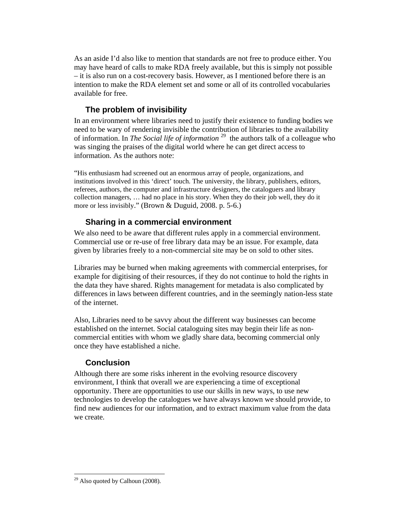As an aside I'd also like to mention that standards are not free to produce either. You may have heard of calls to make RDA freely available, but this is simply not possible – it is also run on a cost-recovery basis. However, as I mentioned before there is an intention to make the RDA element set and some or all of its controlled vocabularies available for free.

# **The problem of invisibility**

In an environment where libraries need to justify their existence to funding bodies we need to be wary of rendering invisible the contribution of libraries to the availability of information. In *The Social life of information* 29 the authors talk of a colleague who was singing the praises of the digital world where he can get direct access to information. As the authors note:

"His enthusiasm had screened out an enormous array of people, organizations, and institutions involved in this 'direct' touch. The university, the library, publishers, editors, referees, authors, the computer and infrastructure designers, the cataloguers and library collection managers, … had no place in his story. When they do their job well, they do it more or less invisibly." (Brown & Duguid, 2008. p. 5-6.)

# **Sharing in a commercial environment**

We also need to be aware that different rules apply in a commercial environment. Commercial use or re-use of free library data may be an issue. For example, data given by libraries freely to a non-commercial site may be on sold to other sites.

Libraries may be burned when making agreements with commercial enterprises, for example for digitising of their resources, if they do not continue to hold the rights in the data they have shared. Rights management for metadata is also complicated by differences in laws between different countries, and in the seemingly nation-less state of the internet.

Also, Libraries need to be savvy about the different way businesses can become established on the internet. Social cataloguing sites may begin their life as noncommercial entities with whom we gladly share data, becoming commercial only once they have established a niche.

# **Conclusion**

Although there are some risks inherent in the evolving resource discovery environment, I think that overall we are experiencing a time of exceptional opportunity. There are opportunities to use our skills in new ways, to use new technologies to develop the catalogues we have always known we should provide, to find new audiences for our information, and to extract maximum value from the data we create.

 $\overline{\phantom{a}}$  $29$  Also quoted by Calhoun (2008).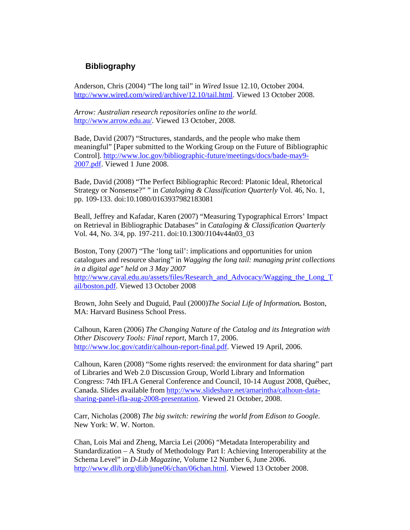# **Bibliography**

Anderson, Chris (2004) "The long tail" in *Wired* Issue 12.10, October 2004. http://www.wired.com/wired/archive/12.10/tail.html. Viewed 13 October 2008.

*Arrow: Australian research repositories online to the world.* http://www.arrow.edu.au/. Viewed 13 October, 2008.

Bade, David (2007) "Structures, standards, and the people who make them meaningful" [Paper submitted to the Working Group on the Future of Bibliographic Control]. http://www.loc.gov/bibliographic-future/meetings/docs/bade-may9- 2007.pdf. Viewed 1 June 2008.

Bade, David (2008) "The Perfect Bibliographic Record: Platonic Ideal, Rhetorical Strategy or Nonsense?" " in *Cataloging & Classification Quarterly* Vol. 46, No. 1, pp. 109-133. doi:10.1080/0163937982183081

Beall, Jeffrey and Kafadar, Karen (2007) "Measuring Typographical Errors' Impact on Retrieval in Bibliographic Databases" in *Cataloging & Classification Quarterly* Vol. 44, No. 3/4, pp. 197-211. doi:10.1300/J104v44n03\_03

Boston, Tony (2007) "The 'long tail': implications and opportunities for union catalogues and resource sharing" in *Wagging the long tail: managing print collections in a digital age" held on 3 May 2007* http://www.caval.edu.au/assets/files/Research\_and\_Advocacy/Wagging\_the\_Long\_T ail/boston.pdf. Viewed 13 October 2008

Brown, John Seely and Duguid, Paul (2000)*The Social Life of Information.* Boston, MA: Harvard Business School Press.

Calhoun, Karen (2006) *The Changing Nature of the Catalog and its Integration with Other Discovery Tools: Final report*, March 17, 2006. http://www.loc.gov/catdir/calhoun-report-final.pdf. Viewed 19 April, 2006.

Calhoun, Karen (2008) "Some rights reserved: the environment for data sharing" part of Libraries and Web 2.0 Discussion Group, World Library and Information Congress: 74th IFLA General Conference and Council, 10-14 August 2008, Québec, Canada. Slides available from http://www.slideshare.net/amarintha/calhoun-datasharing-panel-ifla-aug-2008-presentation. Viewed 21 October, 2008.

Carr, Nicholas (2008) *The big switch: rewiring the world from Edison to Google*. New York: W. W. Norton.

Chan, Lois Mai and Zheng, Marcia Lei (2006) "Metadata Interoperability and Standardization – A Study of Methodology Part I: Achieving Interoperability at the Schema Level" in *D-Lib Magazine*, Volume 12 Number 6, June 2006. http://www.dlib.org/dlib/june06/chan/06chan.html. Viewed 13 October 2008.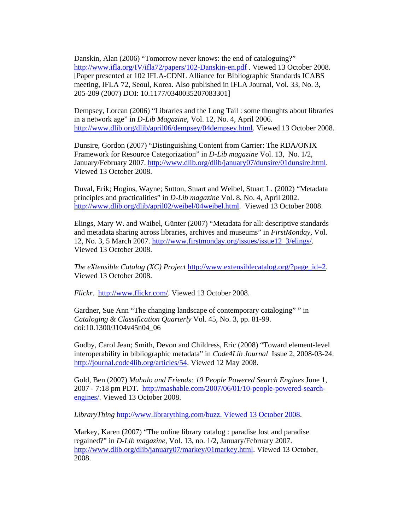Danskin, Alan (2006) "Tomorrow never knows: the end of cataloguing?" http://www.ifla.org/IV/ifla72/papers/102-Danskin-en.pdf . Viewed 13 October 2008. [Paper presented at 102 IFLA-CDNL Alliance for Bibliographic Standards ICABS meeting, IFLA 72, Seoul, Korea. Also published in IFLA Journal, Vol. 33, No. 3, 205-209 (2007) DOI: 10.1177/0340035207083301]

Dempsey, Lorcan (2006) "Libraries and the Long Tail : some thoughts about libraries in a network age" in *D-Lib Magazine*, Vol. 12, No. 4, April 2006. http://www.dlib.org/dlib/april06/dempsey/04dempsey.html. Viewed 13 October 2008.

Dunsire, Gordon (2007) "Distinguishing Content from Carrier: The RDA/ONIX Framework for Resource Categorization" in *D-Lib magazine* Vol. 13, No. 1/2, January/February 2007. http://www.dlib.org/dlib/january07/dunsire/01dunsire.html. Viewed 13 October 2008.

Duval, Erik; Hogins, Wayne; Sutton, Stuart and Weibel, Stuart L. (2002) "Metadata principles and practicalities" in *D-Lib magazine* Vol. 8, No. 4, April 2002. http://www.dlib.org/dlib/april02/weibel/04weibel.html. Viewed 13 October 2008.

Elings, Mary W. and Waibel, Günter (2007) "Metadata for all: descriptive standards and metadata sharing across libraries, archives and museums" in *FirstMonday*, Vol. 12, No. 3, 5 March 2007. http://www.firstmonday.org/issues/issue12\_3/elings/. Viewed 13 October 2008.

*The eXtensible Catalog (XC) Project* http://www.extensiblecatalog.org/?page\_id=2. Viewed 13 October 2008.

*Flickr*. http://www.flickr.com/. Viewed 13 October 2008.

Gardner, Sue Ann "The changing landscape of contemporary cataloging" " in *Cataloging & Classification Quarterly* Vol. 45, No. 3, pp. 81-99. doi:10.1300/J104v45n04\_06

Godby, Carol Jean; Smith, Devon and Childress, Eric (2008) "Toward element-level interoperability in bibliographic metadata" in *Code4Lib Journal* Issue 2, 2008-03-24. http://journal.code4lib.org/articles/54. Viewed 12 May 2008.

Gold, Ben (2007) *Mahalo and Friends: 10 People Powered Search Engines* June 1, 2007 - 7:18 pm PDT. http://mashable.com/2007/06/01/10-people-powered-searchengines/. Viewed 13 October 2008.

*LibraryThing* http://www.librarything.com/buzz. Viewed 13 October 2008.

Markey, Karen (2007) "The online library catalog : paradise lost and paradise regained?" in *D-Lib magazine*, Vol. 13, no. 1/2, January/February 2007. http://www.dlib.org/dlib/january07/markey/01markey.html. Viewed 13 October, 2008.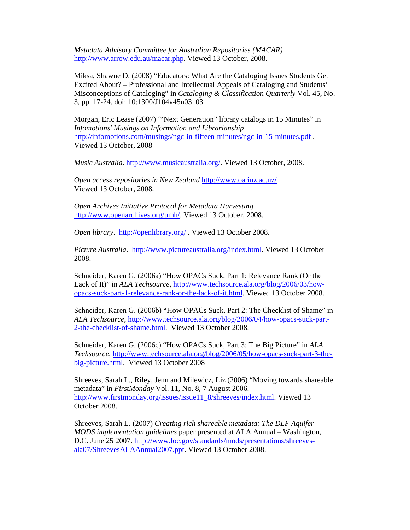*Metadata Advisory Committee for Australian Repositories (MACAR)*  http://www.arrow.edu.au/macar.php. Viewed 13 October, 2008.

Miksa, Shawne D. (2008) "Educators: What Are the Cataloging Issues Students Get Excited About? – Professional and Intellectual Appeals of Cataloging and Students' Misconceptions of Cataloging" in *Cataloging & Classification Quarterly* Vol. 45, No. 3, pp. 17-24. doi: 10:1300/J104v45n03\_03

Morgan, Eric Lease (2007) '"Next Generation" library catalogs in 15 Minutes" in *Infomotions' Musings on Information and Librarianship* http://infomotions.com/musings/ngc-in-fifteen-minutes/ngc-in-15-minutes.pdf . Viewed 13 October, 2008

*Music Australia*. http://www.musicaustralia.org/. Viewed 13 October, 2008.

*Open access repositories in New Zealand* http://www.oarinz.ac.nz/ Viewed 13 October, 2008.

*Open Archives Initiative Protocol for Metadata Harvesting* http://www.openarchives.org/pmh/. Viewed 13 October, 2008.

*Open library*. http://openlibrary.org/ . Viewed 13 October 2008.

*Picture Australia*. http://www.pictureaustralia.org/index.html. Viewed 13 October 2008.

Schneider, Karen G. (2006a) "How OPACs Suck, Part 1: Relevance Rank (Or the Lack of It)" in *ALA Techsource*, http://www.techsource.ala.org/blog/2006/03/howopacs-suck-part-1-relevance-rank-or-the-lack-of-it.html. Viewed 13 October 2008.

Schneider, Karen G. (2006b) "How OPACs Suck, Part 2: The Checklist of Shame" in *ALA Techsource*, http://www.techsource.ala.org/blog/2006/04/how-opacs-suck-part-2-the-checklist-of-shame.html. Viewed 13 October 2008.

Schneider, Karen G. (2006c) "How OPACs Suck, Part 3: The Big Picture" in *ALA Techsource,* http://www.techsource.ala.org/blog/2006/05/how-opacs-suck-part-3-thebig-picture.html. Viewed 13 October 2008

Shreeves, Sarah L., Riley, Jenn and Milewicz, Liz (2006) "Moving towards shareable metadata" in *FirstMonday* Vol. 11, No. 8, 7 August 2006. http://www.firstmonday.org/issues/issue11\_8/shreeves/index.html. Viewed 13 October 2008.

Shreeves, Sarah L. (2007) *Creating rich shareable metadata: The DLF Aquifer MODS implementation guidelines* paper presented at ALA Annual – Washington, D.C. June 25 2007. http://www.loc.gov/standards/mods/presentations/shreevesala07/ShreevesALAAnnual2007.ppt. Viewed 13 October 2008.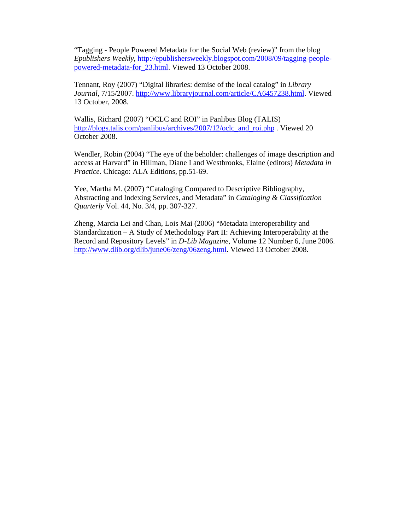"Tagging - People Powered Metadata for the Social Web (review)" from the blog *Epublishers Weekly*, http://epublishersweekly.blogspot.com/2008/09/tagging-peoplepowered-metadata-for\_23.html. Viewed 13 October 2008.

Tennant, Roy (2007) "Digital libraries: demise of the local catalog" in *Library Journal*, 7/15/2007. http://www.libraryjournal.com/article/CA6457238.html. Viewed 13 October, 2008.

Wallis, Richard (2007) "OCLC and ROI" in Panlibus Blog (TALIS) http://blogs.talis.com/panlibus/archives/2007/12/oclc\_and\_roi.php . Viewed 20 October 2008.

Wendler, Robin (2004) "The eye of the beholder: challenges of image description and access at Harvard" in Hillman, Diane I and Westbrooks, Elaine (editors) *Metadata in Practice*. Chicago: ALA Editions, pp.51-69.

Yee, Martha M. (2007) "Cataloging Compared to Descriptive Bibliography, Abstracting and Indexing Services, and Metadata" in *Cataloging & Classification Quarterly* Vol. 44, No. 3/4, pp. 307-327.

Zheng, Marcia Lei and Chan, Lois Mai (2006) "Metadata Interoperability and Standardization – A Study of Methodology Part II: Achieving Interoperability at the Record and Repository Levels" in *D-Lib Magazine*, Volume 12 Number 6, June 2006. http://www.dlib.org/dlib/june06/zeng/06zeng.html. Viewed 13 October 2008.